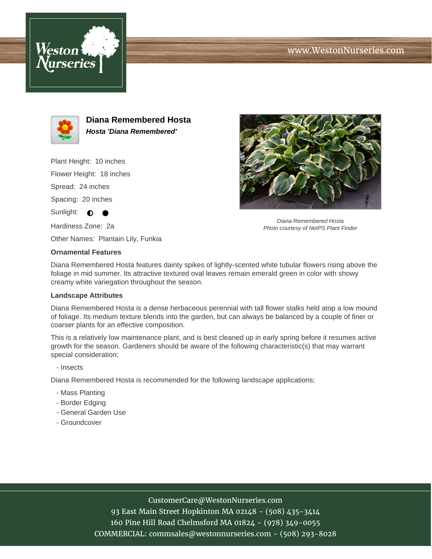





**Diana Remembered Hosta Hosta 'Diana Remembered'**

Plant Height: 10 inches

Flower Height: 18 inches

Spread: 24 inches

Spacing: 20 inches

Sunlight:  $\bullet$ 

Hardiness Zone: 2a

Other Names: Plantain Lily, Funkia

## **Ornamental Features**

Diana Remembered Hosta features dainty spikes of lightly-scented white tubular flowers rising above the foliage in mid summer. Its attractive textured oval leaves remain emerald green in color with showy creamy white variegation throughout the season.

## **Landscape Attributes**

Diana Remembered Hosta is a dense herbaceous perennial with tall flower stalks held atop a low mound of foliage. Its medium texture blends into the garden, but can always be balanced by a couple of finer or coarser plants for an effective composition.

This is a relatively low maintenance plant, and is best cleaned up in early spring before it resumes active growth for the season. Gardeners should be aware of the following characteristic(s) that may warrant special consideration;

- Insects

Diana Remembered Hosta is recommended for the following landscape applications;

- Mass Planting
- Border Edging
- General Garden Use
- Groundcover

## CustomerCare@WestonNurseries.com

93 East Main Street Hopkinton MA 02148 - (508) 435-3414 160 Pine Hill Road Chelmsford MA 01824 - (978) 349-0055 COMMERCIAL: commsales@westonnurseries.com - (508) 293-8028



Diana Remembered Hosta Photo courtesy of NetPS Plant Finder